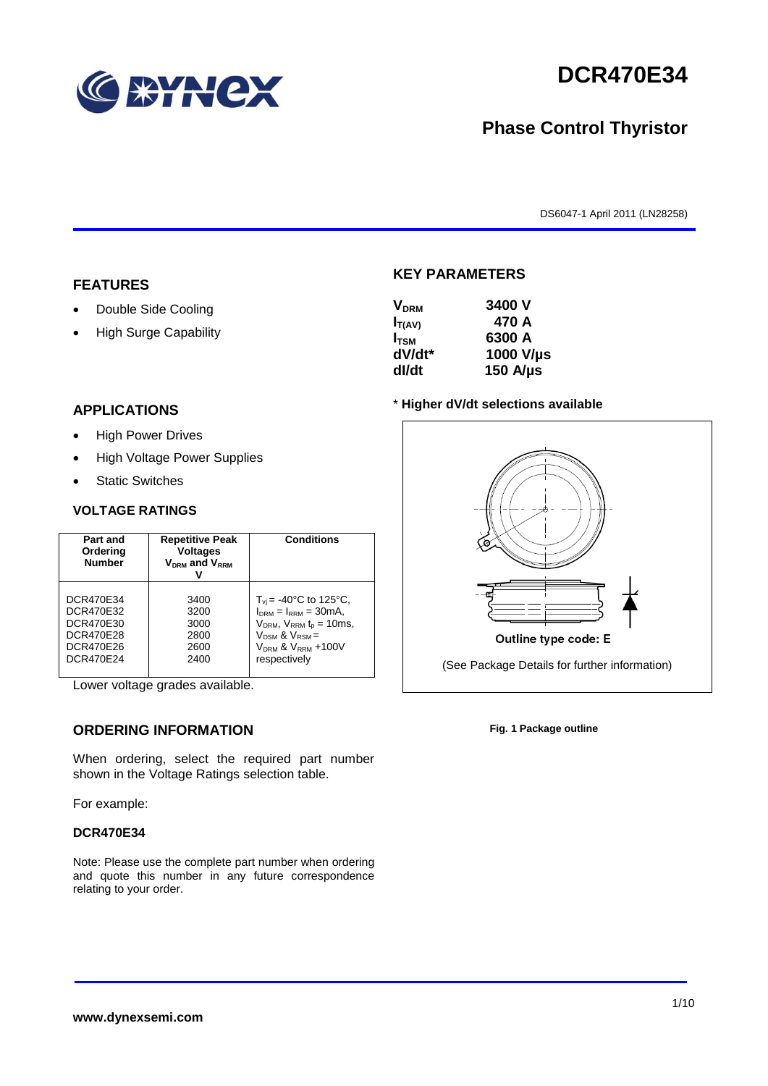

# **DCR470E34**

## **Phase Control Thyristor**

DS6047-1 April 2011 (LN28258)

#### **FEATURES**

- Double Side Cooling
- High Surge Capability

# **KEY PARAMETERS**

| <b>V<sub>DRM</sub></b> | 3400 V        |
|------------------------|---------------|
| $I_{T(AV)}$            | 470 A         |
| $I_{\text{TSM}}$       | 6300 A        |
| dV/dt*                 | 1000 V/µs     |
| dl/dt                  | 150 $A/\mu s$ |

#### **APPLICATIONS**

- High Power Drives
- High Voltage Power Supplies
- Static Switches

#### **VOLTAGE RATINGS**

| Part and<br>Ordering<br><b>Number</b> | <b>Repetitive Peak</b><br><b>Voltages</b><br>$V_{DRM}$ and $V_{RRM}$ | <b>Conditions</b>                     |
|---------------------------------------|----------------------------------------------------------------------|---------------------------------------|
| DCR470E34                             | 3400                                                                 | $T_{\rm vi}$ = -40°C to 125°C,        |
| DCR470E32                             | 3200                                                                 | $IDRM = IRRM = 30mA,$                 |
| DCR470E30                             | 3000                                                                 | $V_{DRM}$ , $V_{RRM}$ $t_{p}$ = 10ms, |
| DCR470E28                             | 2800                                                                 | $V_{DSM}$ & $V_{RSM}$ =               |
| <b>DCR470E26</b>                      | 2600                                                                 | $V_{DRM}$ & $V_{RRM}$ +100V           |
| <b>DCR470E24</b>                      | 2400                                                                 | respectively                          |

Lower voltage grades available.

### **ORDERING INFORMATION**

When ordering, select the required part number shown in the Voltage Ratings selection table.

For example:

#### **DCR470E34**

Note: Please use the complete part number when ordering and quote this number in any future correspondence relating to your order.

#### \* **Higher dV/dt selections available**



**Fig. 1 Package outline**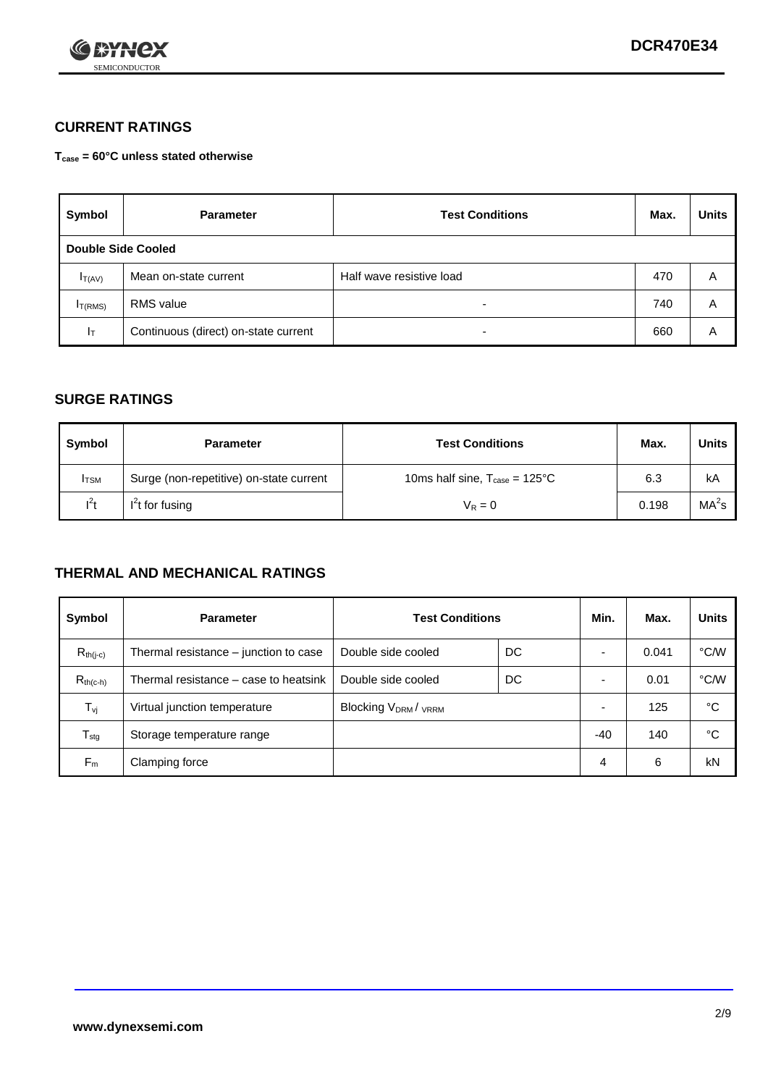

#### **CURRENT RATINGS**

**Tcase = 60°C unless stated otherwise**

| Symbol       | <b>Parameter</b>                     | <b>Test Conditions</b>   | Max. | <b>Units</b> |  |
|--------------|--------------------------------------|--------------------------|------|--------------|--|
|              | Double Side Cooled                   |                          |      |              |  |
| $I_{T(AV)}$  | Mean on-state current                | Half wave resistive load | 470  | A            |  |
| $I_{T(RMS)}$ | RMS value                            | $\overline{\phantom{a}}$ | 740  | Α            |  |
| Iт           | Continuous (direct) on-state current | $\overline{\phantom{a}}$ | 660  | Α            |  |

#### **SURGE RATINGS**

| Symbol       | <b>Parameter</b>                        | <b>Test Conditions</b>                           | Max.  | Units             |
|--------------|-----------------------------------------|--------------------------------------------------|-------|-------------------|
| <b>I</b> TSM | Surge (non-repetitive) on-state current | 10ms half sine, $T_{\text{case}} = 125^{\circ}C$ | 6.3   | kA                |
| $l^2t$       | $I2t$ for fusing                        | $V_R = 0$                                        | 0.198 | MA <sup>2</sup> s |

#### **THERMAL AND MECHANICAL RATINGS**

| Symbol           | <b>Parameter</b>                      | <b>Test Conditions</b>    |    | Min.  | Max.  | <b>Units</b> |
|------------------|---------------------------------------|---------------------------|----|-------|-------|--------------|
| $R_{th(j-c)}$    | Thermal resistance – junction to case | Double side cooled        | DC |       | 0.041 | °C/W         |
| $R_{th(c-h)}$    | Thermal resistance – case to heatsink | Double side cooled        | DC |       | 0.01  | °C/W         |
| $T_{\nu j}$      | Virtual junction temperature          | <b>Blocking VDRM/VRRM</b> |    |       | 125   | °C           |
| $T_{\text{stg}}$ | Storage temperature range             |                           |    | $-40$ | 140   | °C           |
| $F_m$            | Clamping force                        |                           |    | 4     | 6     | kN           |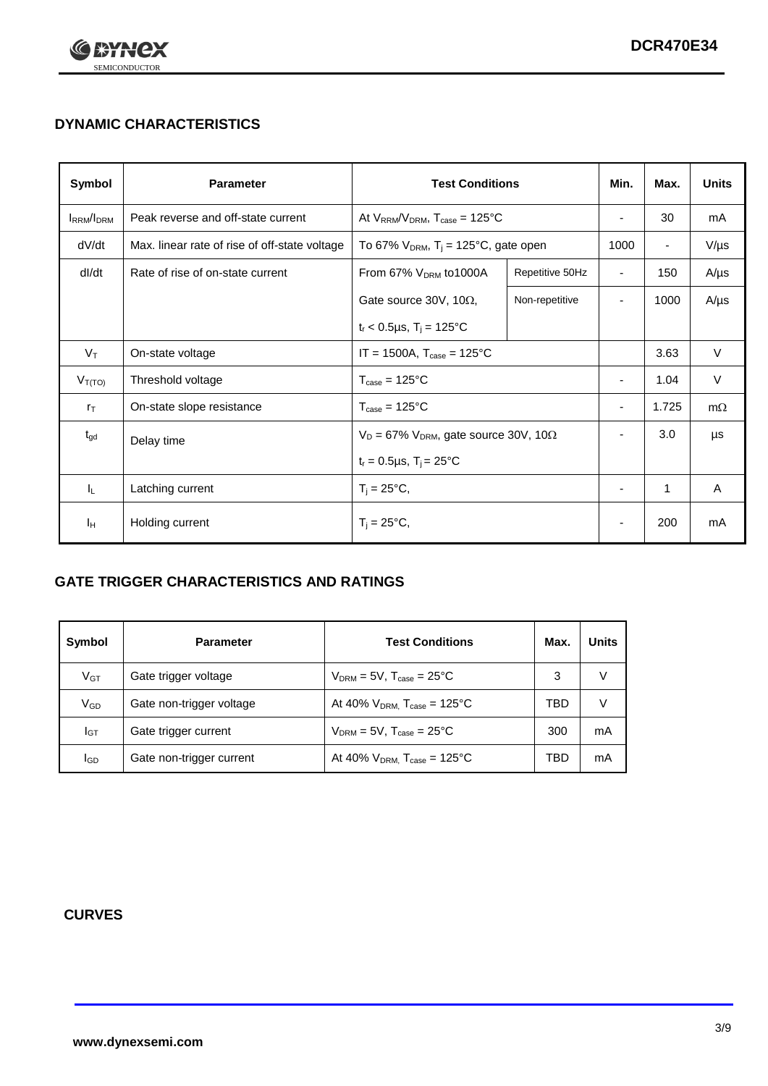

## **DYNAMIC CHARACTERISTICS**

| Symbol            | <b>Parameter</b>                              | <b>Test Conditions</b>                                       |                                                  | Min.                     | Max.                     | <b>Units</b> |
|-------------------|-----------------------------------------------|--------------------------------------------------------------|--------------------------------------------------|--------------------------|--------------------------|--------------|
| <b>IRRM</b> /IDRM | Peak reverse and off-state current            |                                                              | At $V_{RRM}/V_{DRM}$ , $T_{case} = 125^{\circ}C$ |                          | 30                       | mA           |
| dV/dt             | Max. linear rate of rise of off-state voltage | To 67% $V_{DRM}$ , T <sub>i</sub> = 125°C, gate open         |                                                  | 1000                     | $\overline{\phantom{a}}$ | $V/\mu s$    |
| dl/dt             | Rate of rise of on-state current              | From 67% $V_{DRM}$ to 1000A                                  | Repetitive 50Hz                                  | $\overline{\phantom{a}}$ | 150                      | $A/\mu s$    |
|                   |                                               | Gate source 30V, 10 $\Omega$ ,                               | Non-repetitive                                   | $\overline{\phantom{0}}$ | 1000                     | $A/\mu s$    |
|                   |                                               | $t_r$ < 0.5µs, $T_i$ = 125°C                                 |                                                  |                          |                          |              |
| $V_T$             | On-state voltage                              | $IT = 1500A$ , $T_{case} = 125^{\circ}C$                     |                                                  |                          | 3.63                     | $\vee$       |
| $V_{T(TO)}$       | Threshold voltage                             | $T_{\text{case}} = 125^{\circ}C$                             |                                                  | ۰                        | 1.04                     | $\vee$       |
| $r_{\text{T}}$    | On-state slope resistance                     | $T_{\text{case}} = 125^{\circ}C$                             |                                                  | $\overline{\phantom{a}}$ | 1.725                    | $m\Omega$    |
| $t_{gd}$          | Delay time                                    | $V_D = 67\%$ V <sub>DRM</sub> , gate source 30V, 10 $\Omega$ |                                                  | $\overline{\phantom{0}}$ | 3.0                      | μs           |
|                   |                                               | $t_r = 0.5 \mu s$ , $T_i = 25^{\circ}C$                      |                                                  |                          |                          |              |
| IL.               | Latching current                              | $T_i = 25^{\circ}C,$                                         |                                                  | ٠                        | 1                        | A            |
| Iн                | Holding current                               | $T_i = 25^{\circ}C,$                                         |                                                  |                          | 200                      | mA           |

### **GATE TRIGGER CHARACTERISTICS AND RATINGS**

| Symbol   | <b>Parameter</b>         | <b>Test Conditions</b>                       | Max. | <b>Units</b> |
|----------|--------------------------|----------------------------------------------|------|--------------|
| $V_{GT}$ | Gate trigger voltage     | $V_{DRM}$ = 5V, $T_{case}$ = 25°C            | 3    | V            |
| $V_{GD}$ | Gate non-trigger voltage | At 40% $V_{DRM}$ , $T_{case} = 125^{\circ}C$ | TBD  | V            |
| Iст      | Gate trigger current     | $V_{DRM}$ = 5V, $T_{case}$ = 25°C            | 300  | mA           |
| lgd      | Gate non-trigger current | At 40% $V_{DRM}$ , $T_{case} = 125^{\circ}C$ | TBD  | mA           |

#### **CURVES**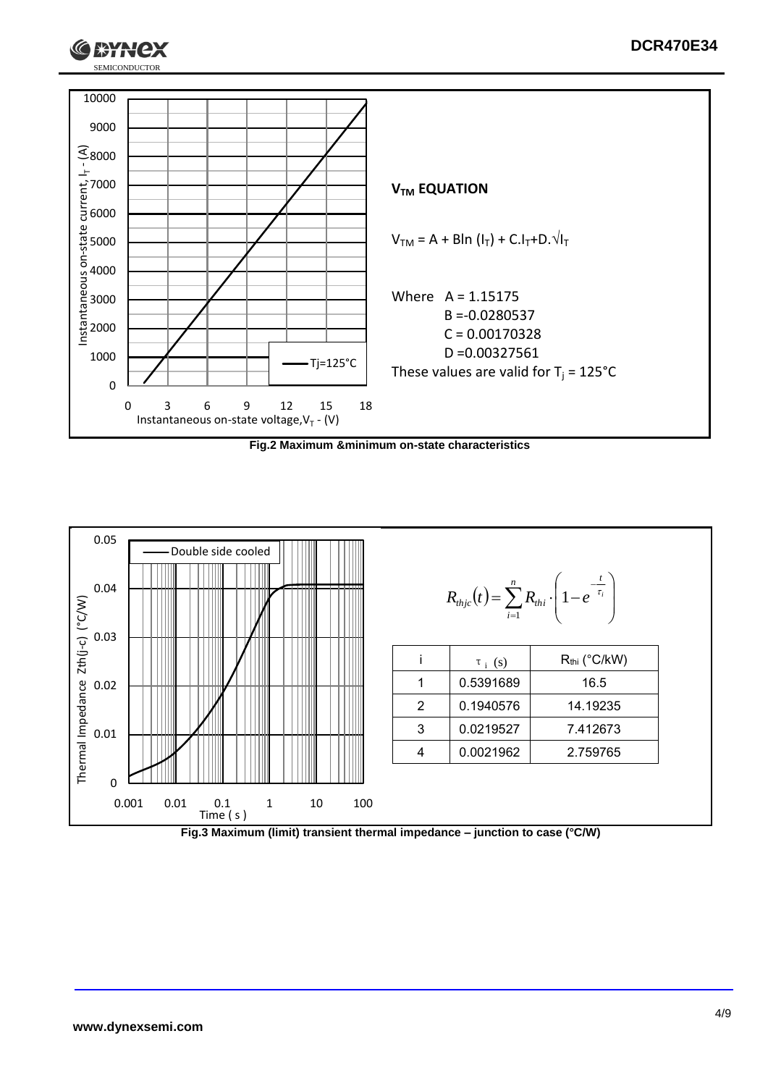





SEMICONDUCTOR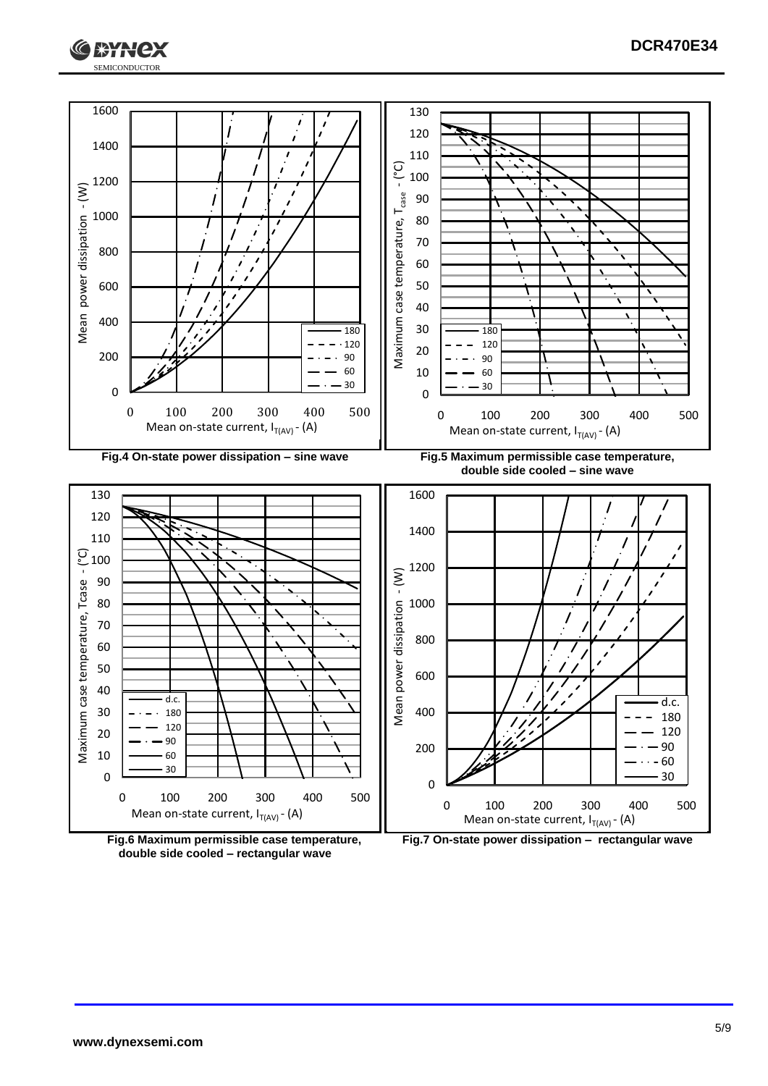





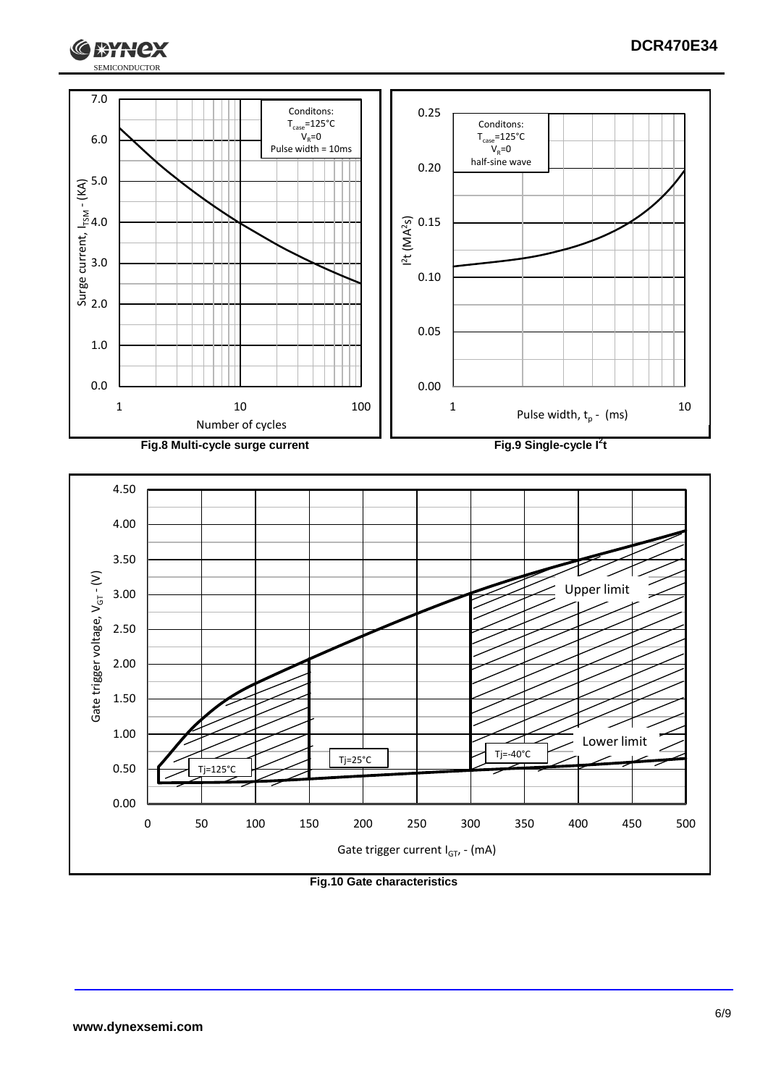



**Fig.10 Gate characteristics**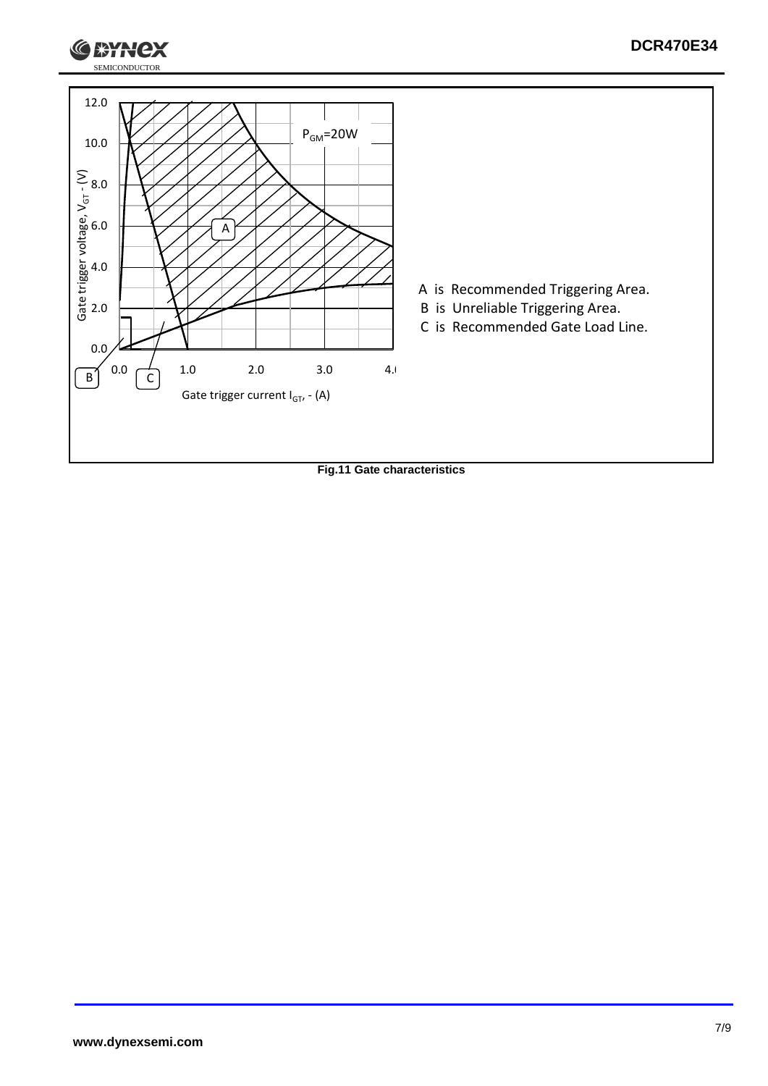

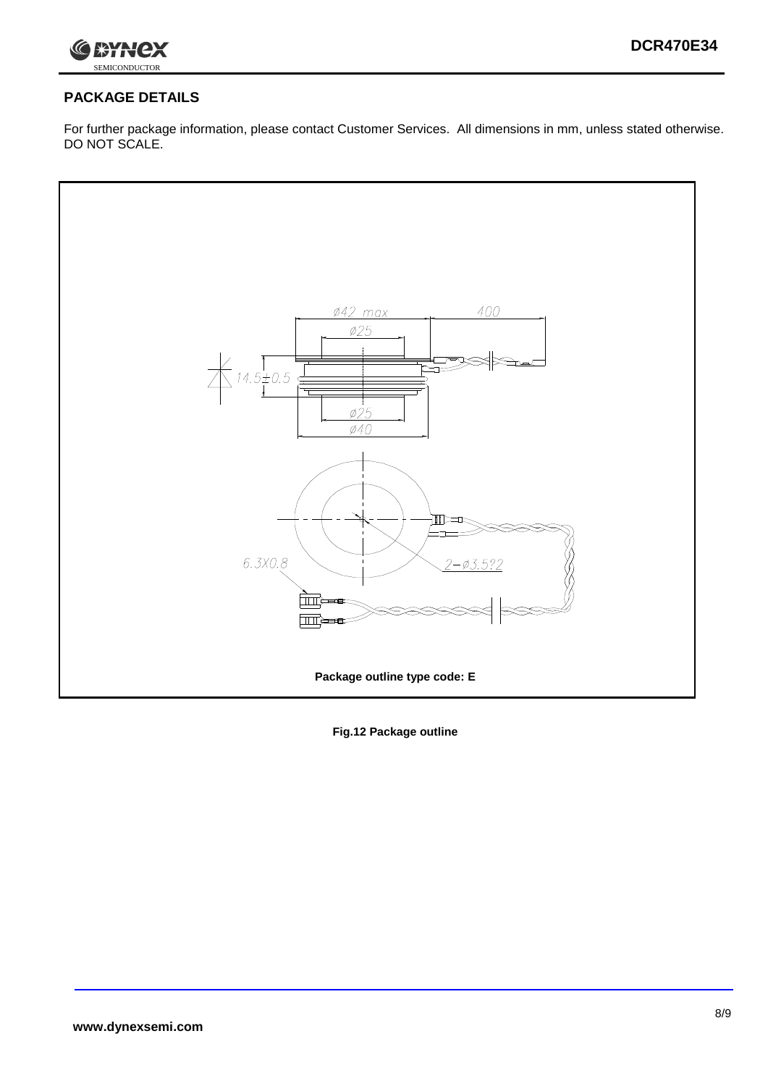

## **PACKAGE DETAILS**

For further package information, please contact Customer Services. All dimensions in mm, unless stated otherwise. DO NOT SCALE.



**Fig.12 Package outline**